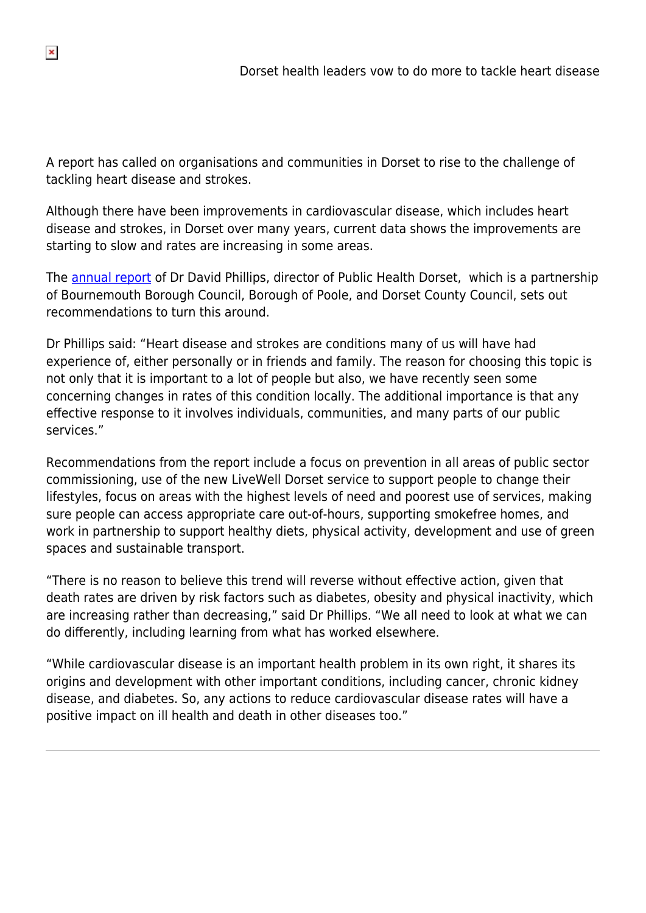A report has called on organisations and communities in Dorset to rise to the challenge of tackling heart disease and strokes.

Although there have been improvements in cardiovascular disease, which includes heart disease and strokes, in Dorset over many years, current data shows the improvements are starting to slow and rates are increasing in some areas.

The [annual report](https://www.publichealthdorset.org.uk/wp-content/uploads/2015/09/Dorset-director-of-public-health-annual-report-2015-16web.pdf) of Dr David Phillips, director of Public Health Dorset, which is a partnership of Bournemouth Borough Council, Borough of Poole, and Dorset County Council, sets out recommendations to turn this around.

Dr Phillips said: "Heart disease and strokes are conditions many of us will have had experience of, either personally or in friends and family. The reason for choosing this topic is not only that it is important to a lot of people but also, we have recently seen some concerning changes in rates of this condition locally. The additional importance is that any effective response to it involves individuals, communities, and many parts of our public services."

Recommendations from the report include a focus on prevention in all areas of public sector commissioning, use of the new LiveWell Dorset service to support people to change their lifestyles, focus on areas with the highest levels of need and poorest use of services, making sure people can access appropriate care out-of-hours, supporting smokefree homes, and work in partnership to support healthy diets, physical activity, development and use of green spaces and sustainable transport.

"There is no reason to believe this trend will reverse without effective action, given that death rates are driven by risk factors such as diabetes, obesity and physical inactivity, which are increasing rather than decreasing," said Dr Phillips. "We all need to look at what we can do differently, including learning from what has worked elsewhere.

"While cardiovascular disease is an important health problem in its own right, it shares its origins and development with other important conditions, including cancer, chronic kidney disease, and diabetes. So, any actions to reduce cardiovascular disease rates will have a positive impact on ill health and death in other diseases too."

 $\pmb{\times}$